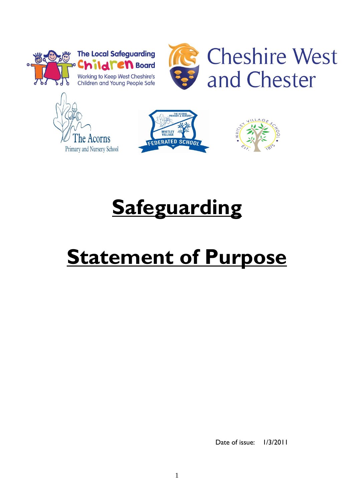



**R** Cheshire West and Chester







# **Safeguarding**

# **Statement of Purpose**

Date of issue:  $1/3/2011$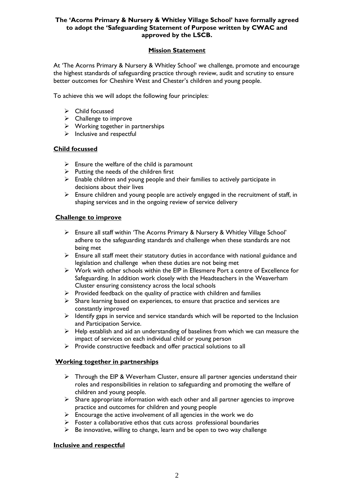# **The 'Acorns Primary & Nursery & Whitley Village School' have formally agreed to adopt the 'Safeguarding Statement of Purpose written by CWAC and approved by the LSCB.**

# **Mission Statement**

At 'The Acorns Primary & Nursery & Whitley School' we challenge, promote and encourage the highest standards of safeguarding practice through review, audit and scrutiny to ensure better outcomes for Cheshire West and Chester's children and young people.

To achieve this we will adopt the following four principles:

- $\triangleright$  Child focussed
- $\triangleright$  Challenge to improve
- $\triangleright$  Working together in partnerships
- $\triangleright$  Inclusive and respectful

#### **Child focussed**

- $\triangleright$  Ensure the welfare of the child is paramount
- $\triangleright$  Putting the needs of the children first
- $\triangleright$  Enable children and young people and their families to actively participate in decisions about their lives
- $\triangleright$  Ensure children and young people are actively engaged in the recruitment of staff, in shaping services and in the ongoing review of service delivery

#### **Challenge to improve**

- Ensure all staff within 'The Acorns Primary & Nursery & Whitley Village School' adhere to the safeguarding standards and challenge when these standards are not being met
- $\triangleright$  Ensure all staff meet their statutory duties in accordance with national guidance and legislation and challenge when these duties are not being met
- $\triangleright$  Work with other schools within the EIP in Ellesmere Port a centre of Excellence for Safeguarding. In addition work closely with the Headteachers in the Weaverham Cluster ensuring consistency across the local schools
- $\triangleright$  Provided feedback on the quality of practice with children and families
- $\triangleright$  Share learning based on experiences, to ensure that practice and services are constantly improved
- $\geq$  Identify gaps in service and service standards which will be reported to the Inclusion and Participation Service.
- $\triangleright$  Help establish and aid an understanding of baselines from which we can measure the impact of services on each individual child or young person
- $\triangleright$  Provide constructive feedback and offer practical solutions to all

# **Working together in partnerships**

- $\triangleright$  Through the EIP & Weverham Cluster, ensure all partner agencies understand their roles and responsibilities in relation to safeguarding and promoting the welfare of children and young people.
- $\triangleright$  Share appropriate information with each other and all partner agencies to improve practice and outcomes for children and young people
- $\triangleright$  Encourage the active involvement of all agencies in the work we do
- $\triangleright$  Foster a collaborative ethos that cuts across professional boundaries
- $\triangleright$  Be innovative, willing to change, learn and be open to two way challenge

# **Inclusive and respectful**